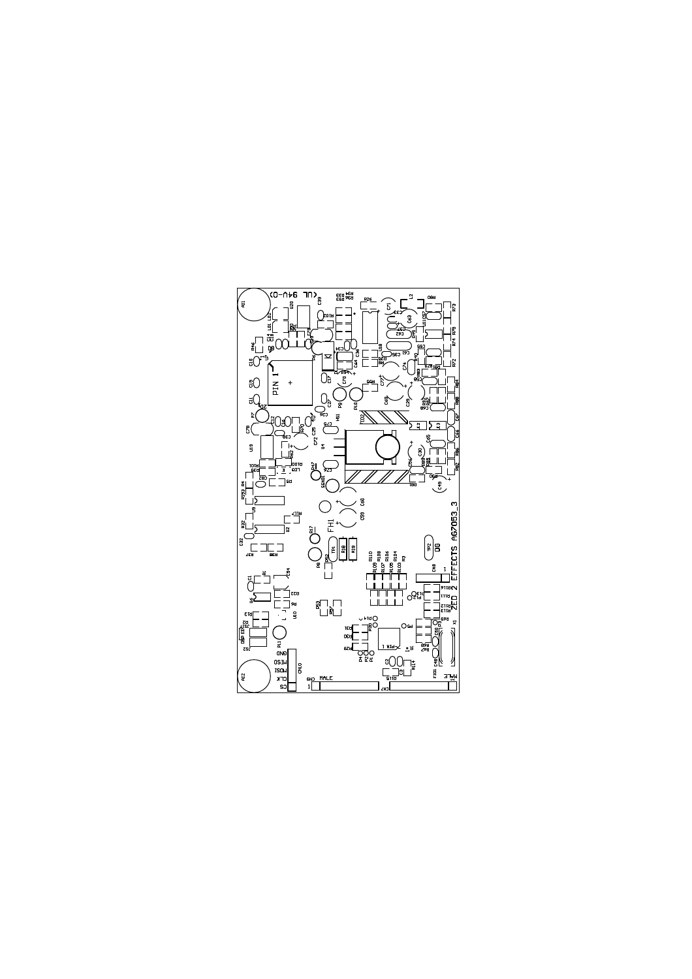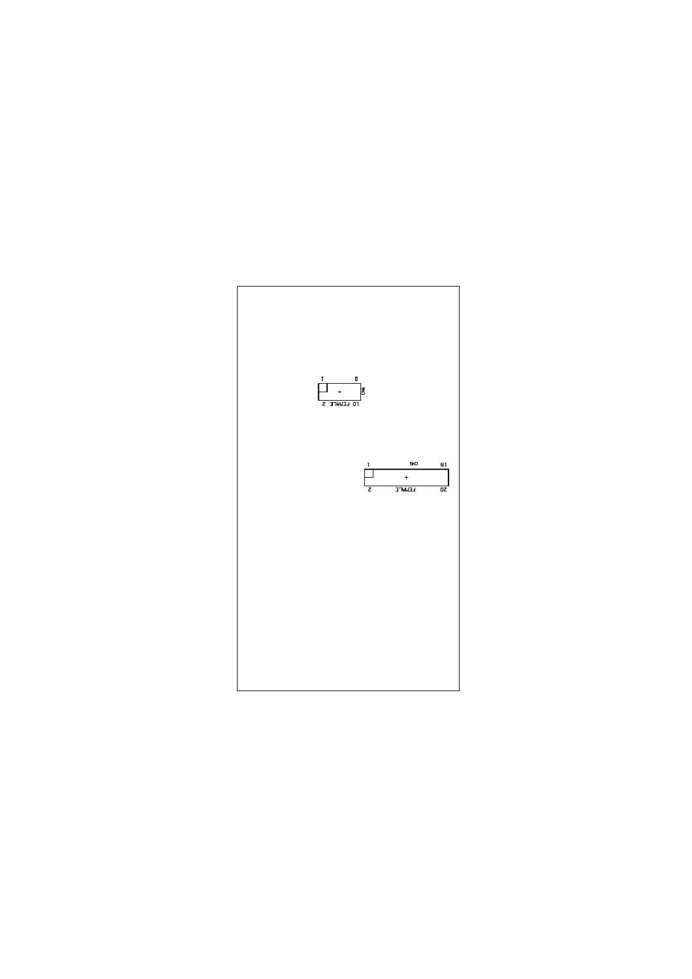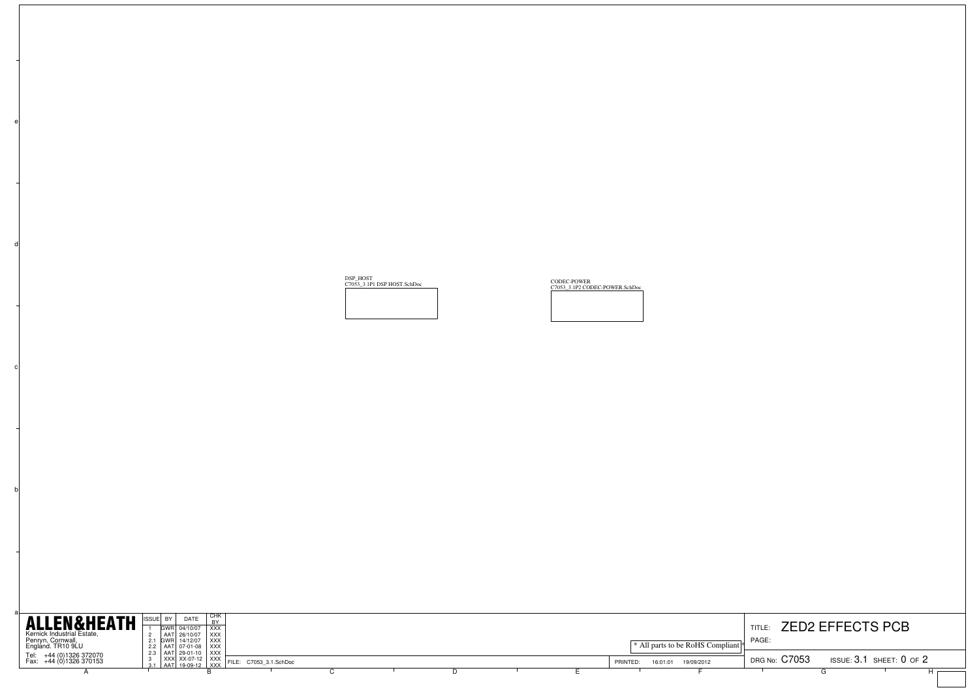| <b>ALLEN&amp;HEATH</b>                                               | I CHK<br>DATE<br>DV.<br>GWR 04/10/07<br><b>XXX</b>                                                                   |  |  |          |                                  | TITLE:        | <b>ZED2 EFFECTS PCB</b>        |  |
|----------------------------------------------------------------------|----------------------------------------------------------------------------------------------------------------------|--|--|----------|----------------------------------|---------------|--------------------------------|--|
| Kernick Industrial Estate,<br>Penryn, Cornwall,<br>England. TR10 9LU | AAT 26/10/07 XXX<br>2.1 GWR 14/12/07   XXX  <br>2.2   AAT   07-01-08   XXX                                           |  |  |          | * All parts to be RoHS Compliant | PAGE          |                                |  |
| Tel: +44 (0)1326 372070<br>Fax: +44 (0)1326 370153                   | 2.3   AAT   29-01-10   XXX  <br>XXX XX-07-12 XXX FILE: C7053_3.1.SchDoc<br>1 AAT 19-09-12 XXX FILE: C7053_3.1.SchDoc |  |  | PRINTED: | 19/09/2012<br>16:01:01           | DRG No: C7053 | ISSUE: $3.1$ SHEET: $0$ of $2$ |  |
|                                                                      |                                                                                                                      |  |  |          |                                  |               |                                |  |

DSP\_HOST<br><u>C7053\_3.1P1 DSP</u>

b

c

d

P HOST.SchDoc CODEC-POWER<br>C7053\_3.1P2 CODEC-POWER.SchDoc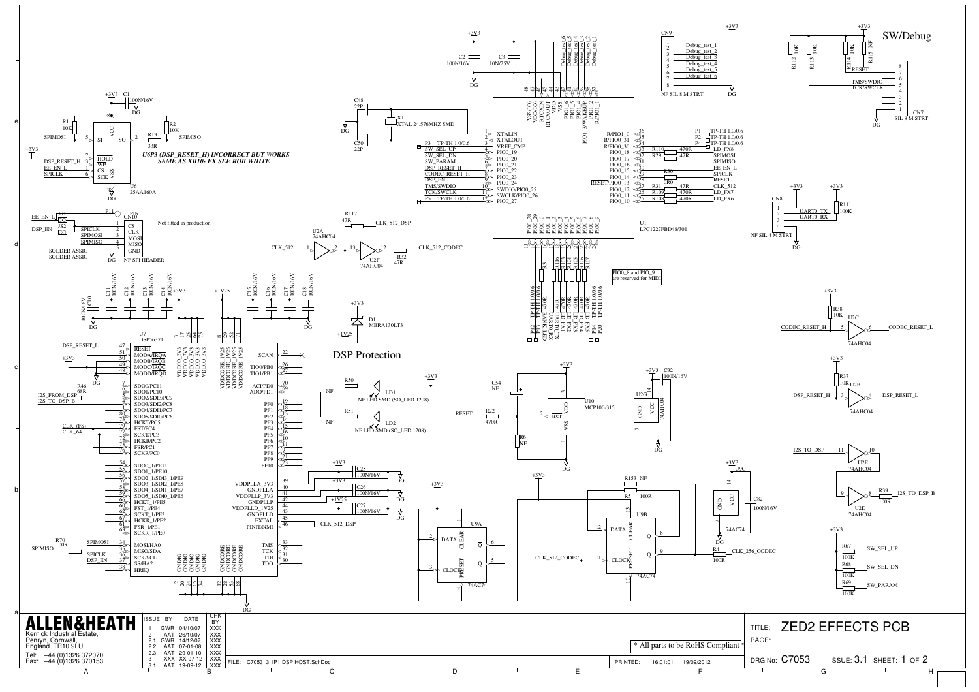